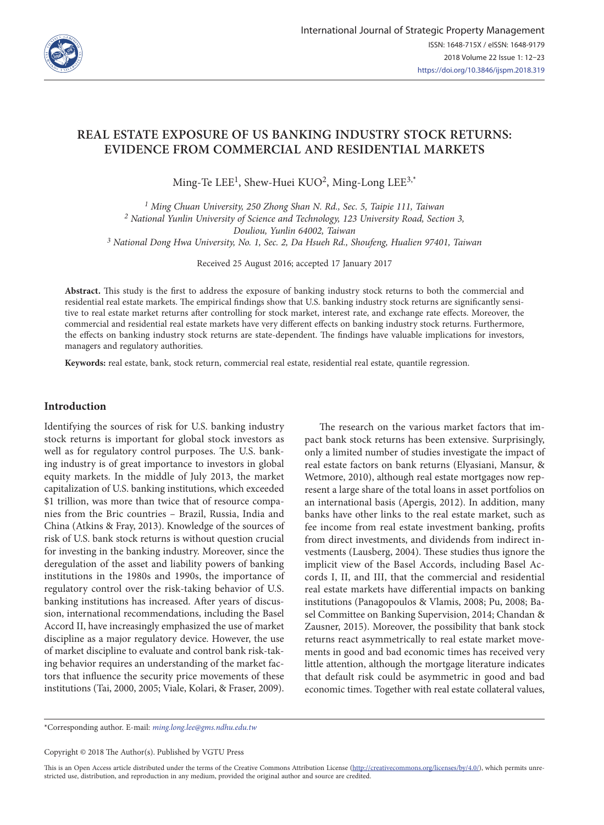

# **REAL ESTATE EXPOSURE OF US BANKING INDUSTRY STOCK RETURNS: EVIDENCE FROM COMMERCIAL AND RESIDENTIAL MARKETS**

Ming-Te LEE<sup>1</sup>, Shew-Huei KUO<sup>2</sup>, Ming-Long LEE<sup>3,\*</sup>

*1 Ming Chuan University, 250 Zhong Shan N. Rd., Sec. 5, Taipie 111, Taiwan 2 National Yunlin University of Science and Technology, 123 University Road, Section 3, Douliou, Yunlin 64002, Taiwan*

*3 National Dong Hwa University, No. 1, Sec. 2, Da Hsueh Rd., Shoufeng, Hualien 97401, Taiwan*

Received 25 August 2016; accepted 17 January 2017

**Abstract.** This study is the first to address the exposure of banking industry stock returns to both the commercial and residential real estate markets. The empirical findings show that U.S. banking industry stock returns are significantly sensitive to real estate market returns after controlling for stock market, interest rate, and exchange rate effects. Moreover, the commercial and residential real estate markets have very different effects on banking industry stock returns. Furthermore, the effects on banking industry stock returns are state-dependent. The findings have valuable implications for investors, managers and regulatory authorities.

**Keywords:** real estate, bank, stock return, commercial real estate, residential real estate, quantile regression.

# **Introduction**

Identifying the sources of risk for U.S. banking industry stock returns is important for global stock investors as well as for regulatory control purposes. The U.S. banking industry is of great importance to investors in global equity markets. In the middle of July 2013, the market capitalization of U.S. banking institutions, which exceeded \$1 trillion, was more than twice that of resource companies from the Bric countries – Brazil, Russia, India and China (Atkins & Fray, 2013). Knowledge of the sources of risk of U.S. bank stock returns is without question crucial for investing in the banking industry. Moreover, since the deregulation of the asset and liability powers of banking institutions in the 1980s and 1990s, the importance of regulatory control over the risk-taking behavior of U.S. banking institutions has increased. After years of discussion, international recommendations, including the Basel Accord II, have increasingly emphasized the use of market discipline as a major regulatory device. However, the use of market discipline to evaluate and control bank risk-taking behavior requires an understanding of the market factors that influence the security price movements of these institutions (Tai, 2000, 2005; Viale, Kolari, & Fraser, 2009).

The research on the various market factors that impact bank stock returns has been extensive. Surprisingly, only a limited number of studies investigate the impact of real estate factors on bank returns (Elyasiani, Mansur, & Wetmore, 2010), although real estate mortgages now represent a large share of the total loans in asset portfolios on an international basis (Apergis, 2012). In addition, many banks have other links to the real estate market, such as fee income from real estate investment banking, profits from direct investments, and dividends from indirect investments (Lausberg, 2004). These studies thus ignore the implicit view of the Basel Accords, including Basel Accords I, II, and III, that the commercial and residential real estate markets have differential impacts on banking institutions (Panagopoulos & Vlamis, 2008; Pu, 2008; Basel Committee on Banking Supervision, 2014; Chandan & Zausner, 2015). Moreover, the possibility that bank stock returns react asymmetrically to real estate market movements in good and bad economic times has received very little attention, although the mortgage literature indicates that default risk could be asymmetric in good and bad economic times. Together with real estate collateral values,

\*Corresponding author. E-mail: *ming.long.lee@gms.ndhu.edu.tw*

Copyright © 2018 The Author(s). Published by VGTU Press

This is an Open Access article distributed under the terms of the Creative Commons Attribution License (http://creativecommons.org/licenses/by/4.0/), which permits unrestricted use, distribution, and reproduction in any medium, provided the original author and source are credited.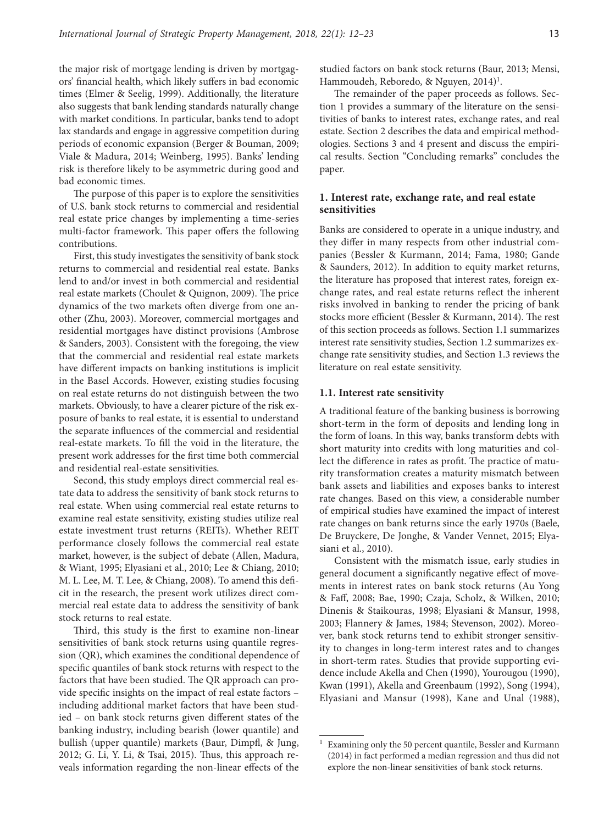the major risk of mortgage lending is driven by mortgagors' financial health, which likely suffers in bad economic times (Elmer & Seelig, 1999). Additionally, the literature also suggests that bank lending standards naturally change with market conditions. In particular, banks tend to adopt lax standards and engage in aggressive competition during periods of economic expansion (Berger & Bouman, 2009; Viale & Madura, 2014; Weinberg, 1995). Banks' lending risk is therefore likely to be asymmetric during good and bad economic times.

The purpose of this paper is to explore the sensitivities of U.S. bank stock returns to commercial and residential real estate price changes by implementing a time-series multi-factor framework. This paper offers the following contributions.

First, this study investigates the sensitivity of bank stock returns to commercial and residential real estate. Banks lend to and/or invest in both commercial and residential real estate markets (Choulet & Quignon, 2009). The price dynamics of the two markets often diverge from one another (Zhu, 2003). Moreover, commercial mortgages and residential mortgages have distinct provisions (Ambrose & Sanders, 2003). Consistent with the foregoing, the view that the commercial and residential real estate markets have different impacts on banking institutions is implicit in the Basel Accords. However, existing studies focusing on real estate returns do not distinguish between the two markets. Obviously, to have a clearer picture of the risk exposure of banks to real estate, it is essential to understand the separate influences of the commercial and residential real-estate markets. To fill the void in the literature, the present work addresses for the first time both commercial and residential real-estate sensitivities.

Second, this study employs direct commercial real estate data to address the sensitivity of bank stock returns to real estate. When using commercial real estate returns to examine real estate sensitivity, existing studies utilize real estate investment trust returns (REITs). Whether REIT performance closely follows the commercial real estate market, however, is the subject of debate (Allen, Madura, & Wiant, 1995; Elyasiani et al., 2010; Lee & Chiang, 2010; M. L. Lee, M. T. Lee, & Chiang, 2008). To amend this deficit in the research, the present work utilizes direct commercial real estate data to address the sensitivity of bank stock returns to real estate.

Third, this study is the first to examine non-linear sensitivities of bank stock returns using quantile regression (QR), which examines the conditional dependence of specific quantiles of bank stock returns with respect to the factors that have been studied. The QR approach can provide specific insights on the impact of real estate factors – including additional market factors that have been studied – on bank stock returns given different states of the banking industry, including bearish (lower quantile) and bullish (upper quantile) markets (Baur, Dimpfl, & Jung, 2012; G. Li, Y. Li, & Tsai, 2015). Thus, this approach reveals information regarding the non-linear effects of the studied factors on bank stock returns (Baur, 2013; Mensi, Hammoudeh, Reboredo, & Nguyen, 2014)<sup>1</sup>.

The remainder of the paper proceeds as follows. Section 1 provides a summary of the literature on the sensitivities of banks to interest rates, exchange rates, and real estate. Section 2 describes the data and empirical methodologies. Sections 3 and 4 present and discuss the empirical results. Section "Concluding remarks" concludes the paper.

# **1. Interest rate, exchange rate, and real estate sensitivities**

Banks are considered to operate in a unique industry, and they differ in many respects from other industrial companies (Bessler & Kurmann, 2014; Fama, 1980; Gande & Saunders, 2012). In addition to equity market returns, the literature has proposed that interest rates, foreign exchange rates, and real estate returns reflect the inherent risks involved in banking to render the pricing of bank stocks more efficient (Bessler & Kurmann, 2014). The rest of this section proceeds as follows. Section 1.1 summarizes interest rate sensitivity studies, Section 1.2 summarizes exchange rate sensitivity studies, and Section 1.3 reviews the literature on real estate sensitivity.

#### **1.1. Interest rate sensitivity**

A traditional feature of the banking business is borrowing short-term in the form of deposits and lending long in the form of loans. In this way, banks transform debts with short maturity into credits with long maturities and collect the difference in rates as profit. The practice of maturity transformation creates a maturity mismatch between bank assets and liabilities and exposes banks to interest rate changes. Based on this view, a considerable number of empirical studies have examined the impact of interest rate changes on bank returns since the early 1970s (Baele, De Bruyckere, De Jonghe, & Vander Vennet, 2015; Elyasiani et al., 2010).

Consistent with the mismatch issue, early studies in general document a significantly negative effect of movements in interest rates on bank stock returns (Au Yong & Faff, 2008; Bae, 1990; Czaja, Scholz, & Wilken, 2010; Dinenis & Staikouras, 1998; Elyasiani & Mansur, 1998, 2003; Flannery & James, 1984; Stevenson, 2002). Moreover, bank stock returns tend to exhibit stronger sensitivity to changes in long-term interest rates and to changes in short-term rates. Studies that provide supporting evidence include Akella and Chen (1990), Yourougou (1990), Kwan (1991), Akella and Greenbaum (1992), Song (1994), Elyasiani and Mansur (1998), Kane and Unal (1988),

<sup>&</sup>lt;sup>1</sup> Examining only the 50 percent quantile, Bessler and Kurmann (2014) in fact performed a median regression and thus did not explore the non-linear sensitivities of bank stock returns.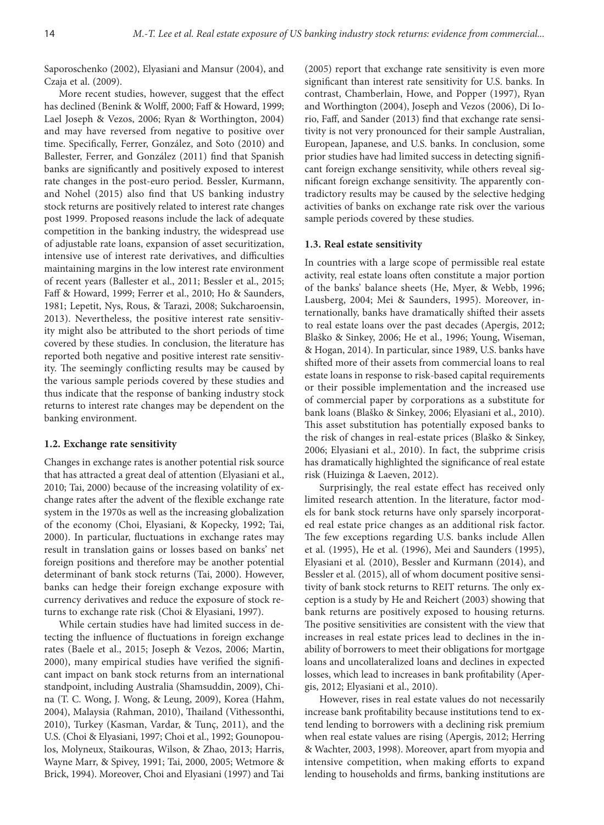Saporoschenko (2002), Elyasiani and Mansur (2004), and Czaja et al. (2009).

More recent studies, however, suggest that the effect has declined (Benink & Wolff, 2000; Faff & Howard, 1999; Lael Joseph & Vezos, 2006; Ryan & Worthington, 2004) and may have reversed from negative to positive over time. Specifically, Ferrer, González, and Soto (2010) and Ballester, Ferrer, and González (2011) find that Spanish banks are significantly and positively exposed to interest rate changes in the post-euro period. Bessler, Kurmann, and Nohel (2015) also find that US banking industry stock returns are positively related to interest rate changes post 1999. Proposed reasons include the lack of adequate competition in the banking industry, the widespread use of adjustable rate loans, expansion of asset securitization, intensive use of interest rate derivatives, and difficulties maintaining margins in the low interest rate environment of recent years (Ballester et al., 2011; Bessler et al., 2015; Faff & Howard, 1999; Ferrer et al., 2010; Ho & Saunders, 1981; Lepetit, Nys, Rous, & Tarazi, 2008; Sukcharoensin, 2013). Nevertheless, the positive interest rate sensitivity might also be attributed to the short periods of time covered by these studies. In conclusion, the literature has reported both negative and positive interest rate sensitivity. The seemingly conflicting results may be caused by the various sample periods covered by these studies and thus indicate that the response of banking industry stock returns to interest rate changes may be dependent on the banking environment.

#### **1.2. Exchange rate sensitivity**

Changes in exchange rates is another potential risk source that has attracted a great deal of attention (Elyasiani et al., 2010; Tai, 2000) because of the increasing volatility of exchange rates after the advent of the flexible exchange rate system in the 1970s as well as the increasing globalization of the economy (Choi, Elyasiani, & Kopecky, 1992; Tai, 2000). In particular, fluctuations in exchange rates may result in translation gains or losses based on banks' net foreign positions and therefore may be another potential determinant of bank stock returns (Tai, 2000). However, banks can hedge their foreign exchange exposure with currency derivatives and reduce the exposure of stock returns to exchange rate risk (Choi & Elyasiani, 1997).

While certain studies have had limited success in detecting the influence of fluctuations in foreign exchange rates (Baele et al., 2015; Joseph & Vezos, 2006; Martin, 2000), many empirical studies have verified the significant impact on bank stock returns from an international standpoint, including Australia (Shamsuddin, 2009), China (T. C. Wong, J. Wong, & Leung, 2009), Korea (Hahm, 2004), Malaysia (Rahman, 2010), Thailand (Vithessonthi, 2010), Turkey (Kasman, Vardar, & Tunç, 2011), and the U.S. (Choi & Elyasiani, 1997; Choi et al., 1992; Gounopoulos, Molyneux, Staikouras, Wilson, & Zhao, 2013; Harris, Wayne Marr, & Spivey, 1991; Tai, 2000, 2005; Wetmore & Brick, 1994). Moreover, Choi and Elyasiani (1997) and Tai

(2005) report that exchange rate sensitivity is even more significant than interest rate sensitivity for U.S. banks. In contrast, Chamberlain, Howe, and Popper (1997), Ryan and Worthington (2004), Joseph and Vezos (2006), Di Iorio, Faff, and Sander (2013) find that exchange rate sensitivity is not very pronounced for their sample Australian, European, Japanese, and U.S. banks. In conclusion, some prior studies have had limited success in detecting significant foreign exchange sensitivity, while others reveal significant foreign exchange sensitivity. The apparently contradictory results may be caused by the selective hedging activities of banks on exchange rate risk over the various sample periods covered by these studies.

#### **1.3. Real estate sensitivity**

In countries with a large scope of permissible real estate activity, real estate loans often constitute a major portion of the banks' balance sheets (He, Myer, & Webb, 1996; Lausberg, 2004; Mei & Saunders, 1995). Moreover, internationally, banks have dramatically shifted their assets to real estate loans over the past decades (Apergis, 2012; Blaško & Sinkey, 2006; He et al., 1996; Young, Wiseman, & Hogan, 2014). In particular, since 1989, U.S. banks have shifted more of their assets from commercial loans to real estate loans in response to risk-based capital requirements or their possible implementation and the increased use of commercial paper by corporations as a substitute for bank loans (Blaško & Sinkey, 2006; Elyasiani et al., 2010). This asset substitution has potentially exposed banks to the risk of changes in real-estate prices (Blaško & Sinkey, 2006; Elyasiani et al., 2010). In fact, the subprime crisis has dramatically highlighted the significance of real estate risk (Huizinga & Laeven, 2012).

Surprisingly, the real estate effect has received only limited research attention. In the literature, factor models for bank stock returns have only sparsely incorporated real estate price changes as an additional risk factor. The few exceptions regarding U.S. banks include Allen et al. (1995), He et al. (1996), Mei and Saunders (1995), Elyasiani et al*.* (2010), Bessler and Kurmann (2014), and Bessler et al. (2015), all of whom document positive sensitivity of bank stock returns to REIT returns. The only exception is a study by He and Reichert (2003) showing that bank returns are positively exposed to housing returns. The positive sensitivities are consistent with the view that increases in real estate prices lead to declines in the inability of borrowers to meet their obligations for mortgage loans and uncollateralized loans and declines in expected losses, which lead to increases in bank profitability (Apergis, 2012; Elyasiani et al., 2010).

However, rises in real estate values do not necessarily increase bank profitability because institutions tend to extend lending to borrowers with a declining risk premium when real estate values are rising (Apergis, 2012; Herring & Wachter, 2003, 1998). Moreover, apart from myopia and intensive competition, when making efforts to expand lending to households and firms, banking institutions are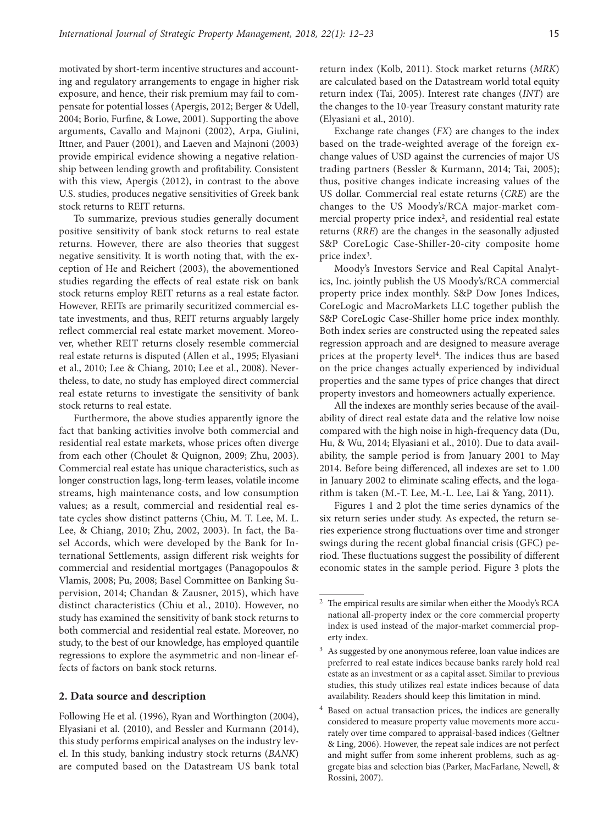motivated by short-term incentive structures and accounting and regulatory arrangements to engage in higher risk exposure, and hence, their risk premium may fail to compensate for potential losses (Apergis, 2012; Berger & Udell, 2004; Borio, Furfine, & Lowe, 2001). Supporting the above arguments, Cavallo and Majnoni (2002), Arpa, Giulini, Ittner, and Pauer (2001), and Laeven and Majnoni (2003) provide empirical evidence showing a negative relationship between lending growth and profitability. Consistent with this view, Apergis (2012), in contrast to the above U.S. studies, produces negative sensitivities of Greek bank stock returns to REIT returns.

To summarize, previous studies generally document positive sensitivity of bank stock returns to real estate returns. However, there are also theories that suggest negative sensitivity. It is worth noting that, with the exception of He and Reichert (2003), the abovementioned studies regarding the effects of real estate risk on bank stock returns employ REIT returns as a real estate factor. However, REITs are primarily securitized commercial estate investments, and thus, REIT returns arguably largely reflect commercial real estate market movement. Moreover, whether REIT returns closely resemble commercial real estate returns is disputed (Allen et al., 1995; Elyasiani et al., 2010; Lee & Chiang, 2010; Lee et al., 2008). Nevertheless, to date, no study has employed direct commercial real estate returns to investigate the sensitivity of bank stock returns to real estate.

Furthermore, the above studies apparently ignore the fact that banking activities involve both commercial and residential real estate markets, whose prices often diverge from each other (Choulet & Quignon, 2009; Zhu, 2003). Commercial real estate has unique characteristics, such as longer construction lags, long-term leases, volatile income streams, high maintenance costs, and low consumption values; as a result, commercial and residential real estate cycles show distinct patterns (Chiu, M. T. Lee, M. L. Lee, & Chiang, 2010; Zhu, 2002, 2003). In fact, the Basel Accords, which were developed by the Bank for International Settlements, assign different risk weights for commercial and residential mortgages (Panagopoulos & Vlamis, 2008; Pu, 2008; Basel Committee on Banking Supervision, 2014; Chandan & Zausner, 2015), which have distinct characteristics (Chiu et al*.*, 2010). However, no study has examined the sensitivity of bank stock returns to both commercial and residential real estate. Moreover, no study, to the best of our knowledge, has employed quantile regressions to explore the asymmetric and non-linear effects of factors on bank stock returns.

#### **2. Data source and description**

Following He et al*.* (1996), Ryan and Worthington (2004), Elyasiani et al. (2010), and Bessler and Kurmann (2014), this study performs empirical analyses on the industry level. In this study, banking industry stock returns (*BANK*) are computed based on the Datastream US bank total return index (Kolb, 2011). Stock market returns (*MRK*) are calculated based on the Datastream world total equity return index (Tai, 2005). Interest rate changes (*INT*) are the changes to the 10-year Treasury constant maturity rate (Elyasiani et al., 2010).

Exchange rate changes (*FX*) are changes to the index based on the trade-weighted average of the foreign exchange values of USD against the currencies of major US trading partners (Bessler & Kurmann, 2014; Tai, 2005); thus, positive changes indicate increasing values of the US dollar. Commercial real estate returns (*CRE*) are the changes to the US Moody's/RCA major-market commercial property price index<sup>2</sup>, and residential real estate returns (*RRE*) are the changes in the seasonally adjusted S&P CoreLogic Case-Shiller-20-city composite home price index<sup>3</sup>.

Moody's Investors Service and Real Capital Analytics, Inc. jointly publish the US Moody's/RCA commercial property price index monthly. S&P Dow Jones Indices, CoreLogic and MacroMarkets LLC together publish the S&P CoreLogic Case-Shiller home price index monthly. Both index series are constructed using the repeated sales regression approach and are designed to measure average prices at the property level4. The indices thus are based on the price changes actually experienced by individual properties and the same types of price changes that direct property investors and homeowners actually experience.

All the indexes are monthly series because of the availability of direct real estate data and the relative low noise compared with the high noise in high-frequency data (Du, Hu, & Wu, 2014; Elyasiani et al., 2010). Due to data availability, the sample period is from January 2001 to May 2014. Before being differenced, all indexes are set to 1.00 in January 2002 to eliminate scaling effects, and the logarithm is taken (M.-T. Lee, M.-L. Lee, Lai & Yang, 2011).

Figures 1 and 2 plot the time series dynamics of the six return series under study. As expected, the return series experience strong fluctuations over time and stronger swings during the recent global financial crisis (GFC) period. These fluctuations suggest the possibility of different economic states in the sample period. Figure 3 plots the

 $^{\rm 2}$  The empirical results are similar when either the Moody's RCA national all-property index or the core commercial property index is used instead of the major-market commercial property index.

<sup>&</sup>lt;sup>3</sup> As suggested by one anonymous referee, loan value indices are preferred to real estate indices because banks rarely hold real estate as an investment or as a capital asset. Similar to previous studies, this study utilizes real estate indices because of data availability. Readers should keep this limitation in mind.

<sup>4</sup> Based on actual transaction prices, the indices are generally considered to measure property value movements more accurately over time compared to appraisal-based indices (Geltner & Ling, 2006). However, the repeat sale indices are not perfect and might suffer from some inherent problems, such as aggregate bias and selection bias (Parker, MacFarlane, Newell, & Rossini, 2007).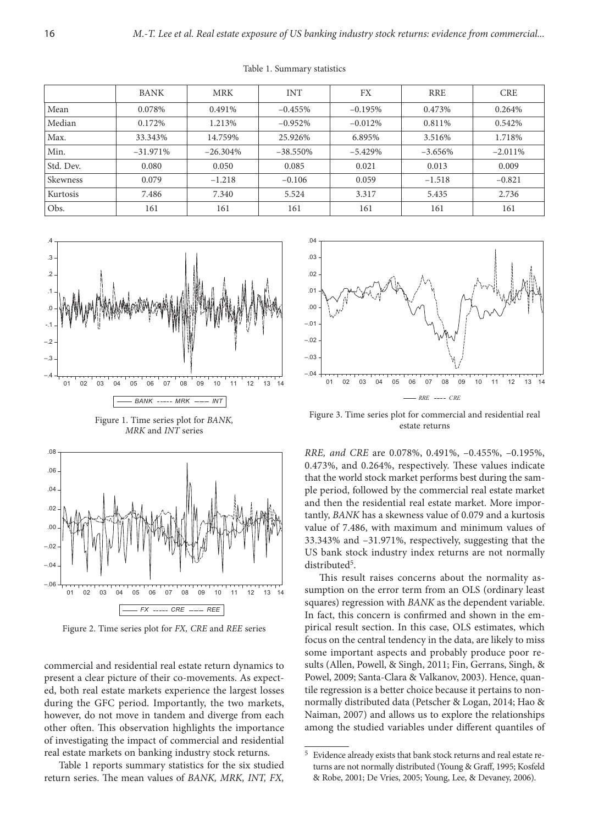|           | <b>BANK</b> | <b>MRK</b> | <b>INT</b>  | FX        | <b>RRE</b> | <b>CRE</b> |
|-----------|-------------|------------|-------------|-----------|------------|------------|
| Mean      | 0.078%      | 0.491%     | $-0.455%$   | $-0.195%$ | 0.473%     | 0.264%     |
| Median    | 0.172%      | 1.213%     | $-0.952%$   | $-0.012%$ | 0.811\%    | 0.542%     |
| Max.      | 33.343%     | 14.759%    | 25.926%     | 6.895%    | 3.516%     | 1.718%     |
| Min.      | $-31.971%$  | $-26.304%$ | $-38.550\%$ | $-5.429%$ | $-3.656%$  | $-2.011%$  |
| Std. Dev. | 0.080       | 0.050      | 0.085       | 0.021     | 0.013      | 0.009      |
| Skewness  | 0.079       | $-1.218$   | $-0.106$    | 0.059     | $-1.518$   | $-0.821$   |
| Kurtosis  | 7.486       | 7.340      | 5.524       | 3.317     | 5.435      | 2.736      |
| Obs.      | 161         | 161        | 161         | 161       | 161        | 161        |

Table 1. Summary statistics





Figure 2. Time series plot for *FX, CRE* and *REE* series

commercial and residential real estate return dynamics to present a clear picture of their co-movements. As expected, both real estate markets experience the largest losses during the GFC period. Importantly, the two markets, however, do not move in tandem and diverge from each other often. This observation highlights the importance of investigating the impact of commercial and residential real estate markets on banking industry stock returns.

Table 1 reports summary statistics for the six studied return series. The mean values of *BANK, MRK, INT, FX,* 



Figure 3. Time series plot for commercial and residential real estate returns

*RRE, and CRE* are 0.078%, 0.491%, –0.455%, –0.195%, 0.473%, and 0.264%, respectively. These values indicate that the world stock market performs best during the sample period, followed by the commercial real estate market and then the residential real estate market. More importantly, *BANK* has a skewness value of 0.079 and a kurtosis value of 7.486, with maximum and minimum values of 33.343% and –31.971%, respectively, suggesting that the US bank stock industry index returns are not normally distributed<sup>5</sup>.

This result raises concerns about the normality assumption on the error term from an OLS (ordinary least squares) regression with *BANK* as the dependent variable. In fact, this concern is confirmed and shown in the empirical result section. In this case, OLS estimates, which focus on the central tendency in the data, are likely to miss some important aspects and probably produce poor results (Allen, Powell, & Singh, 2011; Fin, Gerrans, Singh, & Powel, 2009; Santa-Clara & Valkanov, 2003). Hence, quantile regression is a better choice because it pertains to nonnormally distributed data (Petscher & Logan, 2014; Hao & Naiman, 2007) and allows us to explore the relationships among the studied variables under different quantiles of

 $^5\,$  Evidence already exists that bank stock returns and real estate returns are not normally distributed (Young & Graff, 1995; Kosfeld & Robe, 2001; De Vries, 2005; Young, Lee, & Devaney, 2006).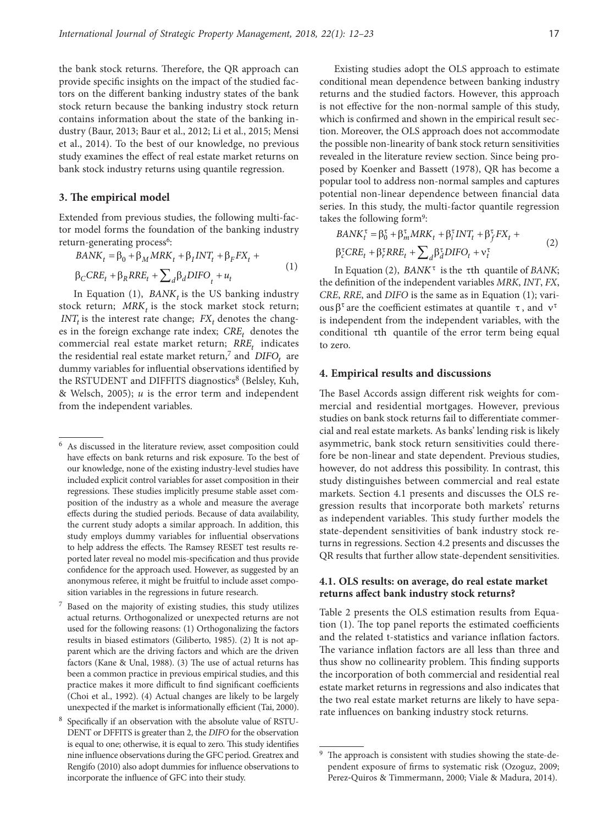the bank stock returns. Therefore, the QR approach can provide specific insights on the impact of the studied factors on the different banking industry states of the bank stock return because the banking industry stock return contains information about the state of the banking industry (Baur, 2013; Baur et al., 2012; Li et al., 2015; Mensi et al., 2014). To the best of our knowledge, no previous study examines the effect of real estate market returns on bank stock industry returns using quantile regression.

### **3. The empirical model**

Extended from previous studies, the following multi-factor model forms the foundation of the banking industry return-generating process<sup>6</sup>:

$$
BANK_t = \beta_0 + \beta_M MRK_t + \beta_I INT_t + \beta_F FX_t +
$$
  
\n
$$
\beta_C CRE_t + \beta_R RRE_t + \sum_d \beta_d DIFO_t + u_t
$$
\n(1)

In Equation (1),  $BANK_t$  is the US banking industry stock return;  $MRK<sub>t</sub>$  is the stock market stock return;  $INT<sub>t</sub>$  is the interest rate change;  $FX<sub>t</sub>$  denotes the changes in the foreign exchange rate index;  $CRE<sub>t</sub>$  denotes the commercial real estate market return; *RRE<sub>t</sub>* indicates the residential real estate market return,<sup>7</sup> and  $DIFO<sub>t</sub>$  are dummy variables for influential observations identified by the RSTUDENT and DIFFITS diagnostics<sup>8</sup> (Belsley, Kuh, & Welsch, 2005); *u* is the error term and independent from the independent variables.

Existing studies adopt the OLS approach to estimate conditional mean dependence between banking industry returns and the studied factors. However, this approach is not effective for the non-normal sample of this study, which is confirmed and shown in the empirical result section. Moreover, the OLS approach does not accommodate the possible non-linearity of bank stock return sensitivities revealed in the literature review section. Since being proposed by Koenker and Bassett (1978), QR has become a popular tool to address non-normal samples and captures potential non-linear dependence between financial data series. In this study, the multi-factor quantile regression takes the following form9:

$$
BANK_t^{\tau} = \beta_0^{\tau} + \beta_m^{\tau}MRK_t + \beta_i^{\tau}INT_t + \beta_f^{\tau}FX_t +
$$
  
\n
$$
\beta_c^{\tau}CRE_t + \beta_r^{\tau}RRE_t + \sum_d \beta_d^{\tau}DIFO_t + v_t^{\tau}
$$
\n(2)

In Equation (2),  $BANK^{\tau}$  is the  $\tau$ th quantile of  $BANK$ ; the definition of the independent variables *MRK*, *INT*, *FX*, *CRE*, *RRE*, and *DIFO* is the same as in Equation (1); various β<sup>τ</sup> are the coefficient estimates at quantile τ, and  $ν<sup>τ</sup>$ is independent from the independent variables, with the conditional τth quantile of the error term being equal to zero.

#### **4. Empirical results and discussions**

The Basel Accords assign different risk weights for commercial and residential mortgages. However, previous studies on bank stock returns fail to differentiate commercial and real estate markets. As banks' lending risk is likely asymmetric, bank stock return sensitivities could therefore be non-linear and state dependent. Previous studies, however, do not address this possibility. In contrast, this study distinguishes between commercial and real estate markets. Section 4.1 presents and discusses the OLS regression results that incorporate both markets' returns as independent variables. This study further models the state-dependent sensitivities of bank industry stock returns in regressions. Section 4.2 presents and discusses the QR results that further allow state-dependent sensitivities.

#### **4.1. OLS results: on average, do real estate market returns affect bank industry stock returns?**

Table 2 presents the OLS estimation results from Equation (1). The top panel reports the estimated coefficients and the related t-statistics and variance inflation factors. The variance inflation factors are all less than three and thus show no collinearity problem. This finding supports the incorporation of both commercial and residential real estate market returns in regressions and also indicates that the two real estate market returns are likely to have separate influences on banking industry stock returns.

<sup>6</sup> As discussed in the literature review, asset composition could have effects on bank returns and risk exposure. To the best of our knowledge, none of the existing industry-level studies have included explicit control variables for asset composition in their regressions. These studies implicitly presume stable asset composition of the industry as a whole and measure the average effects during the studied periods. Because of data availability, the current study adopts a similar approach. In addition, this study employs dummy variables for influential observations to help address the effects. The Ramsey RESET test results reported later reveal no model mis-specification and thus provide confidence for the approach used. However, as suggested by an anonymous referee, it might be fruitful to include asset composition variables in the regressions in future research.

<sup>7</sup> Based on the majority of existing studies, this study utilizes actual returns. Orthogonalized or unexpected returns are not used for the following reasons: (1) Orthogonalizing the factors results in biased estimators (Giliberto, 1985). (2) It is not apparent which are the driving factors and which are the driven factors (Kane & Unal, 1988). (3) The use of actual returns has been a common practice in previous empirical studies, and this practice makes it more difficult to find significant coefficients (Choi et al., 1992). (4) Actual changes are likely to be largely unexpected if the market is informationally efficient (Tai, 2000).

<sup>8</sup> Specifically if an observation with the absolute value of RSTU-DENT or DFFITS is greater than 2, the *DIFO* for the observation is equal to one; otherwise, it is equal to zero. This study identifies nine influence observations during the GFC period. Greatrex and Rengifo (2010) also adopt dummies for influence observations to incorporate the influence of GFC into their study.

<sup>9</sup> The approach is consistent with studies showing the state-dependent exposure of firms to systematic risk (Ozoguz, 2009; Perez‐Quiros & Timmermann, 2000; Viale & Madura, 2014).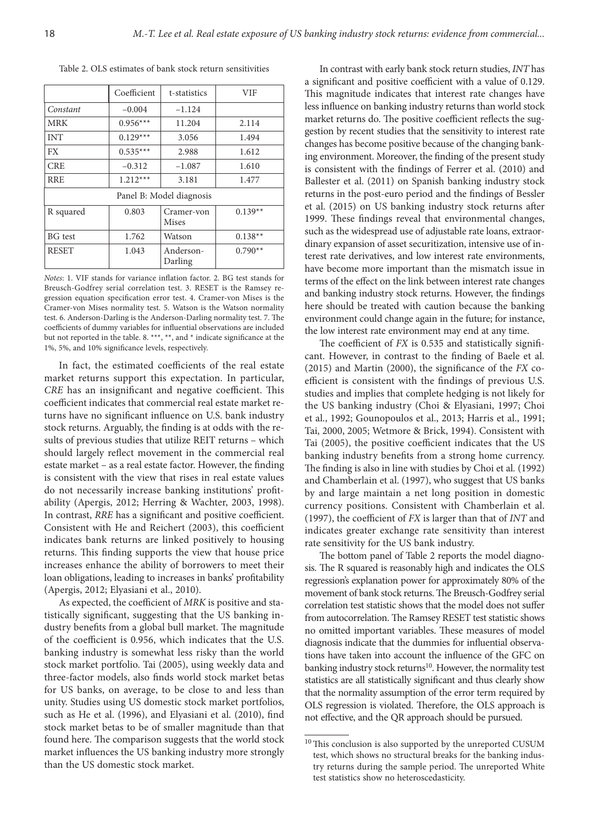Table 2. OLS estimates of bank stock return sensitivities

|                          | Coefficient | t-statistics         | VIF       |  |  |  |  |  |
|--------------------------|-------------|----------------------|-----------|--|--|--|--|--|
| Constant                 | $-0.004$    | $-1.124$             |           |  |  |  |  |  |
| <b>MRK</b>               | $0.956***$  | 11.204               | 2.114     |  |  |  |  |  |
| <b>INT</b>               | $0.129***$  | 3.056                | 1.494     |  |  |  |  |  |
| <b>FX</b>                | $0.535***$  | 2.988                | 1.612     |  |  |  |  |  |
| <b>CRE</b>               | $-0.312$    |                      | 1.610     |  |  |  |  |  |
| <b>RRE</b>               | $1.212***$  | 3.181                | 1.477     |  |  |  |  |  |
| Panel B: Model diagnosis |             |                      |           |  |  |  |  |  |
| R squared                | 0.803       |                      | $0.139**$ |  |  |  |  |  |
| <b>BG</b> test           | 1.762       | Watson               | $0.138**$ |  |  |  |  |  |
| <b>RESET</b>             | 1.043       | Anderson-<br>Darling | $0.790**$ |  |  |  |  |  |

*Notes*: 1. VIF stands for variance inflation factor. 2. BG test stands for Breusch-Godfrey serial correlation test. 3. RESET is the Ramsey regression equation specification error test. 4. Cramer-von Mises is the Cramer-von Mises normality test. 5. Watson is the Watson normality test. 6. Anderson-Darling is the Anderson-Darling normality test. 7. The coefficients of dummy variables for influential observations are included but not reported in the table. 8. \*\*\*, \*\*, and \* indicate significance at the 1%, 5%, and 10% significance levels, respectively.

In fact, the estimated coefficients of the real estate market returns support this expectation. In particular, *CRE* has an insignificant and negative coefficient. This coefficient indicates that commercial real estate market returns have no significant influence on U.S. bank industry stock returns. Arguably, the finding is at odds with the results of previous studies that utilize REIT returns – which should largely reflect movement in the commercial real estate market – as a real estate factor. However, the finding is consistent with the view that rises in real estate values do not necessarily increase banking institutions' profitability (Apergis, 2012; Herring & Wachter, 2003, 1998). In contrast, *RRE* has a significant and positive coefficient. Consistent with He and Reichert (2003), this coefficient indicates bank returns are linked positively to housing returns. This finding supports the view that house price increases enhance the ability of borrowers to meet their loan obligations, leading to increases in banks' profitability (Apergis, 2012; Elyasiani et al., 2010).

As expected, the coefficient of *MRK* is positive and statistically significant, suggesting that the US banking industry benefits from a global bull market. The magnitude of the coefficient is 0.956, which indicates that the U.S. banking industry is somewhat less risky than the world stock market portfolio. Tai (2005), using weekly data and three-factor models, also finds world stock market betas for US banks, on average, to be close to and less than unity. Studies using US domestic stock market portfolios, such as He et al. (1996), and Elyasiani et al. (2010), find stock market betas to be of smaller magnitude than that found here. The comparison suggests that the world stock market influences the US banking industry more strongly than the US domestic stock market.

In contrast with early bank stock return studies, *INT* has a significant and positive coefficient with a value of 0.129. This magnitude indicates that interest rate changes have less influence on banking industry returns than world stock market returns do. The positive coefficient reflects the suggestion by recent studies that the sensitivity to interest rate changes has become positive because of the changing banking environment. Moreover, the finding of the present study is consistent with the findings of Ferrer et al. (2010) and Ballester et al. (2011) on Spanish banking industry stock returns in the post-euro period and the findings of Bessler et al. (2015) on US banking industry stock returns after 1999. These findings reveal that environmental changes, such as the widespread use of adjustable rate loans, extraordinary expansion of asset securitization, intensive use of interest rate derivatives, and low interest rate environments, have become more important than the mismatch issue in terms of the effect on the link between interest rate changes and banking industry stock returns. However, the findings here should be treated with caution because the banking environment could change again in the future; for instance, the low interest rate environment may end at any time.

The coefficient of *FX* is 0.535 and statistically significant. However, in contrast to the finding of Baele et al*.* (2015) and Martin (2000), the significance of the *FX* coefficient is consistent with the findings of previous U.S. studies and implies that complete hedging is not likely for the US banking industry (Choi & Elyasiani, 1997; Choi et al., 1992; Gounopoulos et al., 2013; Harris et al., 1991; Tai, 2000, 2005; Wetmore & Brick, 1994). Consistent with Tai (2005), the positive coefficient indicates that the US banking industry benefits from a strong home currency. The finding is also in line with studies by Choi et al*.* (1992) and Chamberlain et al. (1997), who suggest that US banks by and large maintain a net long position in domestic currency positions. Consistent with Chamberlain et al. (1997), the coefficient of *FX* is larger than that of *INT* and indicates greater exchange rate sensitivity than interest rate sensitivity for the US bank industry.

The bottom panel of Table 2 reports the model diagnosis. The R squared is reasonably high and indicates the OLS regression's explanation power for approximately 80% of the movement of bank stock returns. The Breusch-Godfrey serial correlation test statistic shows that the model does not suffer from autocorrelation. The Ramsey RESET test statistic shows no omitted important variables. These measures of model diagnosis indicate that the dummies for influential observations have taken into account the influence of the GFC on banking industry stock returns<sup>10</sup>. However, the normality test statistics are all statistically significant and thus clearly show that the normality assumption of the error term required by OLS regression is violated. Therefore, the OLS approach is not effective, and the QR approach should be pursued.

 $^{10}\mskip 1.5mu$  This conclusion is also supported by the unreported CUSUM test, which shows no structural breaks for the banking industry returns during the sample period. The unreported White test statistics show no heteroscedasticity.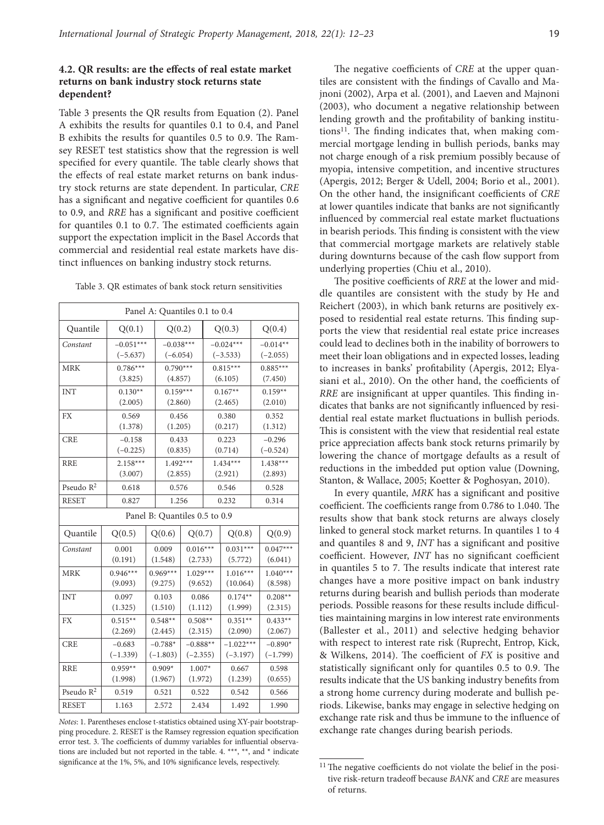# **4.2. QR results: are the effects of real estate market returns on bank industry stock returns state dependent?**

Table 3 presents the QR results from Equation (2). Panel A exhibits the results for quantiles 0.1 to 0.4, and Panel B exhibits the results for quantiles 0.5 to 0.9. The Ramsey RESET test statistics show that the regression is well specified for every quantile. The table clearly shows that the effects of real estate market returns on bank industry stock returns are state dependent. In particular, *CRE* has a significant and negative coefficient for quantiles 0.6 to 0.9, and *RRE* has a significant and positive coefficient for quantiles 0.1 to 0.7. The estimated coefficients again support the expectation implicit in the Basel Accords that commercial and residential real estate markets have distinct influences on banking industry stock returns.

| Panel A: Quantiles 0.1 to 0.4 |                                         |            |             |            |             |             |            |            |  |
|-------------------------------|-----------------------------------------|------------|-------------|------------|-------------|-------------|------------|------------|--|
| Quantile                      | Q(0.1)                                  |            | Q(0.2)      |            | Q(0.3)      |             |            | Q(0.4)     |  |
| Constant                      | $-0.051***$                             |            | $-0.038***$ |            | $-0.024***$ |             |            | $-0.014**$ |  |
|                               | $(-5.637)$                              |            | $(-6.054)$  |            | $(-3.533)$  |             |            | $(-2.055)$ |  |
| <b>MRK</b>                    | $0.786***$                              |            | $0.790***$  |            | $0.815***$  |             |            | $0.885***$ |  |
|                               | (3.825)                                 |            | (4.857)     |            |             | (6.105)     | (7.450)    |            |  |
| <b>INT</b>                    | $0.130**$                               |            | $0.159***$  |            | $0.167**$   |             | $0.159**$  |            |  |
|                               | (2.005)                                 |            | (2.860)     |            | (2.465)     |             | (2.010)    |            |  |
| <b>FX</b>                     | 0.569                                   |            |             | 0.456      |             | 0.380       |            | 0.352      |  |
|                               | (1.378)                                 |            | (1.205)     |            | (0.217)     |             | (1.312)    |            |  |
| <b>CRE</b>                    | $-0.158$                                |            |             | 0.433      |             | 0.223       |            | $-0.296$   |  |
|                               | $(-0.225)$                              |            | (0.835)     |            | (0.714)     |             | $(-0.524)$ |            |  |
| <b>RRE</b>                    | $2.158***$                              |            | $1.492***$  |            | $1.434***$  |             | $1.438***$ |            |  |
|                               |                                         | (3.007)    |             | (2.855)    |             | (2.921)     |            | (2.893)    |  |
| Pseudo $R^2$                  | 0.618                                   |            |             | 0.576      |             | 0.546       |            | 0.528      |  |
| <b>RESET</b>                  | 0.827                                   |            |             | 1.256      |             | 0.232       |            | 0.314      |  |
| Panel B: Quantiles 0.5 to 0.9 |                                         |            |             |            |             |             |            |            |  |
| Quantile                      | Q(0.5)                                  | Q(0.6)     |             | Q(0.7)     |             | Q(0.8)      |            | Q(0.9)     |  |
| Constant                      | 0.001                                   | 0.009      |             | $0.016***$ |             | $0.031***$  |            | $0.047***$ |  |
|                               | (0.191)                                 |            | (1.548)     | (2.733)    |             | (5.772)     |            | (6.041)    |  |
| <b>MRK</b>                    | $0.946***$                              | $0.969***$ |             | $1.029***$ |             | $1.016***$  |            | $1.040***$ |  |
|                               | (9.093)                                 | (9.275)    |             | (9.652)    |             | (10.064)    |            | (8.598)    |  |
| <b>INT</b>                    | 0.097                                   | 0.103      |             | 0.086      |             | $0.174**$   |            | $0.208**$  |  |
|                               | (1.325)                                 | (1.510)    |             | (1.112)    |             | (1.999)     |            | (2.315)    |  |
| <b>FX</b>                     | $0.515**$                               | $0.548**$  |             | $0.508**$  |             | $0.351**$   |            | $0.433**$  |  |
|                               | (2.269)                                 | (2.445)    |             | (2.315)    |             | (2.090)     |            | (2.067)    |  |
| <b>CRE</b>                    | $-0.683$                                | $-0.788*$  |             | $-0.888**$ |             | $-1.022***$ |            | $-0.890*$  |  |
|                               | $(-1.339)$                              | $(-1.803)$ |             | $(-2.355)$ |             | $(-3.197)$  |            | $(-1.799)$ |  |
| <b>RRE</b>                    | $0.959**$                               | $0.909*$   |             | $1.007*$   |             | 0.667       |            | 0.598      |  |
|                               | (1.998)                                 | (1.967)    |             | (1.972)    |             | (1.239)     |            | (0.655)    |  |
|                               | Pseudo $\mathbb{R}^2$<br>0.519<br>0.521 |            |             | 0.522      |             | 0.542       |            | 0.566      |  |
| <b>RESET</b>                  | 1.163                                   | 2.572      |             | 2.434      |             | 1.492       |            | 1.990      |  |

*Notes*: 1. Parentheses enclose t-statistics obtained using XY-pair bootstrapping procedure. 2. RESET is the Ramsey regression equation specification error test. 3. The coefficients of dummy variables for influential observations are included but not reported in the table. 4. \*\*\*, \*\*, and \* indicate significance at the 1%, 5%, and 10% significance levels, respectively.

The negative coefficients of *CRE* at the upper quantiles are consistent with the findings of Cavallo and Majnoni (2002), Arpa et al. (2001), and Laeven and Majnoni (2003), who document a negative relationship between lending growth and the profitability of banking institutions<sup>11</sup>. The finding indicates that, when making commercial mortgage lending in bullish periods, banks may not charge enough of a risk premium possibly because of myopia, intensive competition, and incentive structures (Apergis, 2012; Berger & Udell, 2004; Borio et al., 2001). On the other hand, the insignificant coefficients of *CRE* at lower quantiles indicate that banks are not significantly influenced by commercial real estate market fluctuations in bearish periods. This finding is consistent with the view that commercial mortgage markets are relatively stable during downturns because of the cash flow support from underlying properties (Chiu et al., 2010).

The positive coefficients of *RRE* at the lower and middle quantiles are consistent with the study by He and Reichert (2003), in which bank returns are positively exposed to residential real estate returns. This finding supports the view that residential real estate price increases could lead to declines both in the inability of borrowers to meet their loan obligations and in expected losses, leading to increases in banks' profitability (Apergis, 2012; Elyasiani et al., 2010). On the other hand, the coefficients of *RRE* are insignificant at upper quantiles. This finding indicates that banks are not significantly influenced by residential real estate market fluctuations in bullish periods. This is consistent with the view that residential real estate price appreciation affects bank stock returns primarily by lowering the chance of mortgage defaults as a result of reductions in the imbedded put option value (Downing, Stanton, & Wallace, 2005; Koetter & Poghosyan, 2010).

In every quantile, *MRK* has a significant and positive coefficient. The coefficients range from 0.786 to 1.040. The results show that bank stock returns are always closely linked to general stock market returns. In quantiles 1 to 4 and quantiles 8 and 9, *INT* has a significant and positive coefficient. However, *INT* has no significant coefficient in quantiles 5 to 7. The results indicate that interest rate changes have a more positive impact on bank industry returns during bearish and bullish periods than moderate periods. Possible reasons for these results include difficulties maintaining margins in low interest rate environments (Ballester et al., 2011) and selective hedging behavior with respect to interest rate risk (Ruprecht, Entrop, Kick, & Wilkens, 2014). The coefficient of *FX* is positive and statistically significant only for quantiles 0.5 to 0.9. The results indicate that the US banking industry benefits from a strong home currency during moderate and bullish periods. Likewise, banks may engage in selective hedging on exchange rate risk and thus be immune to the influence of exchange rate changes during bearish periods.

<sup>&</sup>lt;sup>11</sup> The negative coefficients do not violate the belief in the positive risk-return tradeoff because *BANK* and *CRE* are measures of returns.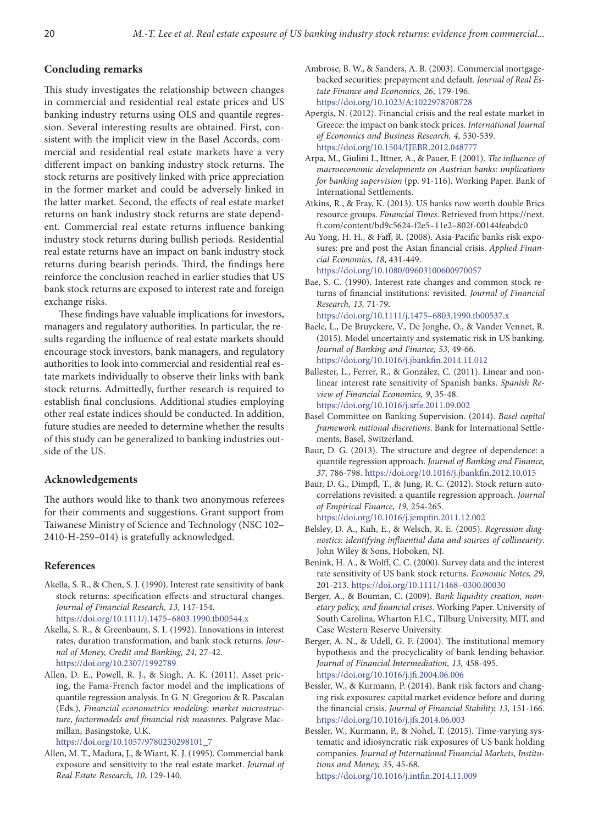# **Concluding remarks**

This study investigates the relationship between changes in commercial and residential real estate prices and US banking industry returns using OLS and quantile regression. Several interesting results are obtained. First, consistent with the implicit view in the Basel Accords, commercial and residential real estate markets have a very different impact on banking industry stock returns. The stock returns are positively linked with price appreciation in the former market and could be adversely linked in the latter market. Second, the effects of real estate market returns on bank industry stock returns are state dependent. Commercial real estate returns influence banking industry stock returns during bullish periods. Residential real estate returns have an impact on bank industry stock returns during bearish periods. Third, the findings here reinforce the conclusion reached in earlier studies that US bank stock returns are exposed to interest rate and foreign exchange risks.

These findings have valuable implications for investors, managers and regulatory authorities. In particular, the results regarding the influence of real estate markets should encourage stock investors, bank managers, and regulatory authorities to look into commercial and residential real estate markets individually to observe their links with bank stock returns. Admittedly, further research is required to establish final conclusions. Additional studies employing other real estate indices should be conducted. In addition, future studies are needed to determine whether the results of this study can be generalized to banking industries outside of the US.

# **Acknowledgements**

The authors would like to thank two anonymous referees for their comments and suggestions. Grant support from Taiwanese Ministry of Science and Technology (NSC 102– 2410-H-259–014) is gratefully acknowledged.

#### **References**

- Akella, S. R., & Chen, S. J. (1990). Interest rate sensitivity of bank stock returns: specification effects and structural changes. *Journal of Financial Research, 13*, 147-154. https://doi.org/10.1111/j.1475–6803.1990.tb00544.x
- Akella, S. R., & Greenbaum, S. I. (1992). Innovations in interest rates, duration transformation, and bank stock returns. *Journal of Money, Credit and Banking, 24*, 27-42. https://doi.org/10.2307/1992789
- Allen, D. E., Powell, R. J., & Singh, A. K. (2011). Asset pricing, the Fama-French factor model and the implications of quantile regression analysis. In G. N. Gregoriou & R. Pascalan (Eds.), *Financial econometrics modeling: market microstructure, factormodels and financial risk measures*. Palgrave Macmillan, Basingstoke, U.K.

https://doi.org/10.1057/9780230298101\_7

Allen, M. T., Madura, J., & Wiant, K. J. (1995). Commercial bank exposure and sensitivity to the real estate market. *Journal of Real Estate Research, 10*, 129-140.

- Ambrose, B. W., & Sanders, A. B. (2003). Commercial mortgagebacked securities: prepayment and default. *Journal of Real Estate Finance and Economics, 26*, 179-196. https://doi.org/10.1023/A:1022978708728
- Apergis, N. (2012). Financial crisis and the real estate market in Greece: the impact on bank stock prices. *International Journal of Economics and Business Research, 4,* 530-539. https://doi.org/10.1504/IJEBR.2012.048777
- Arpa, M., Giulini I., Ittner, A., & Pauer, F. (2001). *The influence of macroeconomic developments on Austrian banks: implications for banking supervision* (pp. 91-116). Working Paper. Bank of International Settlements.
- Atkins, R., & Fray, K. (2013). US banks now worth double Brics resource groups. *Financial Times*. Retrieved from https://next. ft.com/content/bd9c5624-f2e5–11e2–802f-00144feabdc0
- Au Yong, H. H., & Faff, R. (2008). Asia-Pacific banks risk exposures: pre and post the Asian financial crisis. *Applied Financial Economics, 18*, 431-449. https://doi.org/10.1080/09603100600970057
- Bae, S. C. (1990). Interest rate changes and common stock returns of financial institutions: revisited. *Journal of Financial Research, 13,* 71-79.

https://doi.org/10.1111/j.1475–6803.1990.tb00537.x Baele, L., De Bruyckere, V., De Jonghe, O., & Vander Vennet, R. (2015). Model uncertainty and systematic risk in US banking. *Journal of Banking and Finance, 53*, 49-66. https://doi.org/10.1016/j.jbankfin.2014.11.012

- Ballester, L., Ferrer, R., & González, C. (2011). Linear and nonlinear interest rate sensitivity of Spanish banks. *Spanish Review of Financial Economics, 9*, 35-48. https://doi.org/10.1016/j.srfe.2011.09.002
- Basel Committee on Banking Supervision. (2014). *Basel capital framework national discretions*. Bank for International Settlements, Basel, Switzerland.
- Baur, D. G. (2013). The structure and degree of dependence: a quantile regression approach. *Journal of Banking and Finance, 37*, 786-798. https://doi.org/10.1016/j.jbankfin.2012.10.015
- Baur, D. G., Dimpfl, T., & Jung, R. C. (2012). Stock return autocorrelations revisited: a quantile regression approach. *Journal of Empirical Finance, 19,* 254-265. https://doi.org/10.1016/j.jempfin.2011.12.002
- Belsley, D. A., Kuh, E., & Welsch, R. E. (2005). *Regression diagnostics: identifying influential data and sources of collinearity*. John Wiley & Sons, Hoboken, NJ.
- Benink, H. A., & Wolff, C. C. (2000). Survey data and the interest rate sensitivity of US bank stock returns. *Economic Notes, 29*, 201-213. https://doi.org/10.1111/1468–0300.00030
- Berger, A., & Bouman, C. (2009). *Bank liquidity creation, monetary policy, and financial crises*. Working Paper. University of South Carolina, Wharton F.I.C., Tilburg University, MIT, and Case Western Reserve University.
- Berger, A. N., & Udell, G. F. (2004). The institutional memory hypothesis and the procyclicality of bank lending behavior. *Journal of Financial Intermediation, 13,* 458-495. https://doi.org/10.1016/j.jfi.2004.06.006
- Bessler, W., & Kurmann, P. (2014). Bank risk factors and changing risk exposures: capital market evidence before and during the financial crisis. *Journal of Financial Stability, 13,* 151-166. https://doi.org/10.1016/j.jfs.2014.06.003
- Bessler, W., Kurmann, P., & Nohel, T. (2015). Time-varying systematic and idiosyncratic risk exposures of US bank holding companies. *Journal of International Financial Markets, Institutions and Money, 35,* 45-68. https://doi.org/10.1016/j.intfin.2014.11.009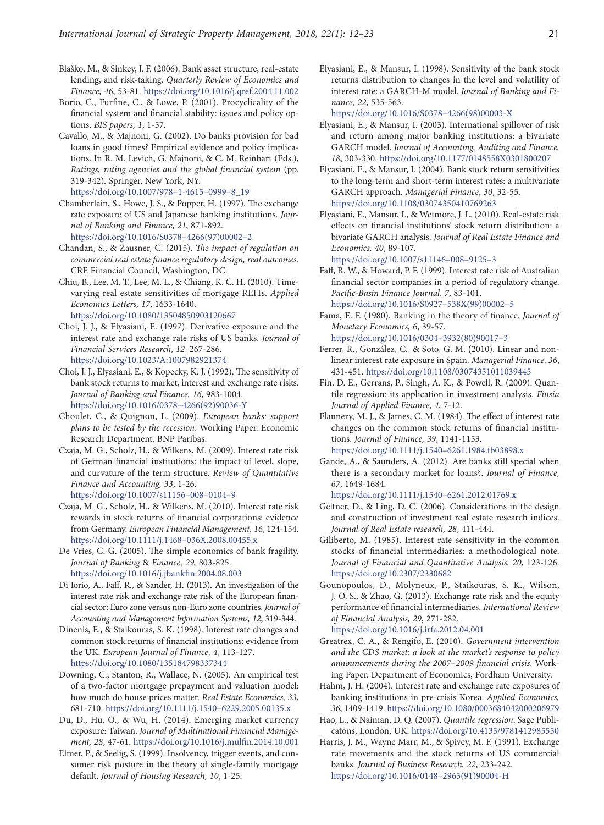- Blaško, M., & Sinkey, J. F. (2006). Bank asset structure, real-estate lending, and risk-taking. *Quarterly Review of Economics and Finance, 46*, 53-81. https://doi.org/10.1016/j.qref.2004.11.002
- Borio, C., Furfine, C., & Lowe, P. (2001). Procyclicality of the financial system and financial stability: issues and policy options. *BIS papers, 1*, 1-57.
- Cavallo, M., & Majnoni, G. (2002). Do banks provision for bad loans in good times? Empirical evidence and policy implications. In R. M. Levich, G. Majnoni, & C. M. Reinhart (Eds.), *Ratings, rating agencies and the global financial system* (pp. 319-342)*.* Springer, New York, NY. https://doi.org/10.1007/978–1-4615–0999–8\_19
- Chamberlain, S., Howe, J. S., & Popper, H. (1997). The exchange rate exposure of US and Japanese banking institutions. *Journal of Banking and Finance, 21*, 871-892. https://doi.org/10.1016/S0378–4266(97)00002–2
- Chandan, S., & Zausner, C. (2015). *The impact of regulation on commercial real estate finance regulatory design, real outcomes*. CRE Financial Council, Washington, DC.
- Chiu, B., Lee, M. T., Lee, M. L., & Chiang, K. C. H. (2010). Timevarying real estate sensitivities of mortgage REITs. *Applied Economics Letters, 17*, 1633-1640. https://doi.org/10.1080/13504850903120667
- Choi, J. J., & Elyasiani, E. (1997). Derivative exposure and the interest rate and exchange rate risks of US banks. *Journal of*
- *Financial Services Research, 12*, 267-286. https://doi.org/10.1023/A:1007982921374
- Choi, J. J., Elyasiani, E., & Kopecky, K. J. (1992). The sensitivity of bank stock returns to market, interest and exchange rate risks. *Journal of Banking and Finance, 16*, 983-1004. https://doi.org/10.1016/0378–4266(92)90036-Y
- Choulet, C., & Quignon, L. (2009). *European banks: support plans to be tested by the recession*. Working Paper. Economic Research Department, BNP Paribas.
- Czaja, M. G., Scholz, H., & Wilkens, M. (2009). Interest rate risk of German financial institutions: the impact of level, slope, and curvature of the term structure. *Review of Quantitative Finance and Accounting, 33*, 1-26. https://doi.org/10.1007/s11156–008–0104–9
- Czaja, M. G., Scholz, H., & Wilkens, M. (2010). Interest rate risk rewards in stock returns of financial corporations: evidence from Germany. *European Financial Management, 16*, 124-154. https://doi.org/10.1111/j.1468–036X.2008.00455.x
- De Vries, C. G. (2005). The simple economics of bank fragility. *Journal of Banking* & *Finance, 29,* 803-825. https://doi.org/10.1016/j.jbankfin.2004.08.003
- Di Iorio, A., Faff, R., & Sander, H. (2013). An investigation of the interest rate risk and exchange rate risk of the European financial sector: Euro zone versus non-Euro zone countries. *Journal of Accounting and Management Information Systems, 12*, 319-344.
- Dinenis, E., & Staikouras, S. K. (1998). Interest rate changes and common stock returns of financial institutions: evidence from the UK. *European Journal of Finance, 4*, 113-127. https://doi.org/10.1080/135184798337344
- Downing, C., Stanton, R., Wallace, N. (2005). An empirical test of a two-factor mortgage prepayment and valuation model: how much do house prices matter. *Real Estate Economics, 33*, 681-710. https://doi.org/10.1111/j.1540–6229.2005.00135.x
- Du, D., Hu, O., & Wu, H. (2014). Emerging market currency exposure: Taiwan. *Journal of Multinational Financial Management, 28*, 47-61. https://doi.org/10.1016/j.mulfin.2014.10.001
- Elmer, P., & Seelig, S. (1999). Insolvency, trigger events, and consumer risk posture in the theory of single-family mortgage default. *Journal of Housing Research, 10*, 1-25.

Elyasiani, E., & Mansur, I. (1998). Sensitivity of the bank stock returns distribution to changes in the level and volatility of interest rate: a GARCH-M model. *Journal of Banking and Finance, 22*, 535-563.

https://doi.org/10.1016/S0378–4266(98)00003-X

- Elyasiani, E., & Mansur, I. (2003). International spillover of risk and return among major banking institutions: a bivariate GARCH model. *Journal of Accounting, Auditing and Finance, 18*, 303-330. https://doi.org/10.1177/0148558X0301800207
- Elyasiani, E., & Mansur, I. (2004). Bank stock return sensitivities to the long-term and short-term interest rates: a multivariate GARCH approach. *Managerial Finance, 30*, 32-55. https://doi.org/10.1108/03074350410769263
- Elyasiani, E., Mansur, I., & Wetmore, J. L. (2010). Real-estate risk effects on financial institutions' stock return distribution: a bivariate GARCH analysis. *Journal of Real Estate Finance and Economics, 40*, 89-107.

https://doi.org/10.1007/s11146–008–9125–3

Faff, R. W., & Howard, P. F. (1999). Interest rate risk of Australian financial sector companies in a period of regulatory change. *Pacific-Basin Finance Journal, 7*, 83-101.

https://doi.org/10.1016/S0927–538X(99)00002–5 Fama, E. F. (1980). Banking in the theory of finance. *Journal of* 

*Monetary Economics,* 6, 39-57. https://doi.org/10.1016/0304–3932(80)90017–3

- Ferrer, R., González, C., & Soto, G. M. (2010). Linear and nonlinear interest rate exposure in Spain. *Managerial Finance, 36*, 431-451. https://doi.org/10.1108/03074351011039445
- Fin, D. E., Gerrans, P., Singh, A. K., & Powell, R. (2009). Quantile regression: its application in investment analysis. *Finsia Journal of Applied Finance, 4*, 7-12.
- Flannery, M. J., & James, C. M. (1984). The effect of interest rate changes on the common stock returns of financial institutions. *Journal of Finance, 39*, 1141-1153. https://doi.org/10.1111/j.1540–6261.1984.tb03898.x
- Gande, A., & Saunders, A. (2012). Are banks still special when there is a secondary market for loans?. *Journal of Finance, 67*, 1649-1684.

https://doi.org/10.1111/j.1540–6261.2012.01769.x

- Geltner, D., & Ling, D. C. (2006). Considerations in the design and construction of investment real estate research indices. *Journal of Real Estate research, 28*, 411-444.
- Giliberto, M. (1985). Interest rate sensitivity in the common stocks of financial intermediaries: a methodological note. *Journal of Financial and Quantitative Analysis, 20*, 123-126. https://doi.org/10.2307/2330682
- Gounopoulos, D., Molyneux, P., Staikouras, S. K., Wilson, J. O. S., & Zhao, G. (2013). Exchange rate risk and the equity performance of financial intermediaries. *International Review of Financial Analysis, 29*, 271-282. https://doi.org/10.1016/j.irfa.2012.04.001
- Greatrex, C. A., & Rengifo, E. (2010). *Government intervention and the CDS market: a look at the market's response to policy announcements during the 2007–2009 financial crisis*. Working Paper. Department of Economics, Fordham University.
- Hahm, J. H. (2004). Interest rate and exchange rate exposures of banking institutions in pre-crisis Korea. *Applied Economics, 36*, 1409-1419. https://doi.org/10.1080/0003684042000206979
- Hao, L., & Naiman, D. Q. (2007). *Quantile regression*. Sage Publicatons, London, UK. https://doi.org/10.4135/9781412985550
- Harris, J. M., Wayne Marr, M., & Spivey, M. F. (1991). Exchange rate movements and the stock returns of US commercial banks. *Journal of Business Research, 22*, 233-242. https://doi.org/10.1016/0148–2963(91)90004-H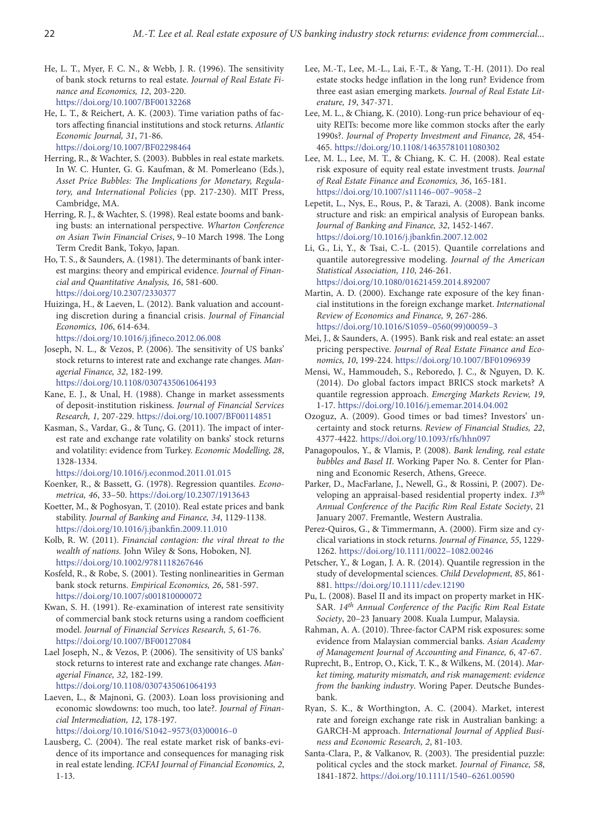- He, L. T., Myer, F. C. N., & Webb, J. R. (1996). The sensitivity of bank stock returns to real estate. *Journal of Real Estate Finance and Economics, 12*, 203-220. https://doi.org/10.1007/BF00132268
- He, L. T., & Reichert, A. K. (2003). Time variation paths of factors affecting financial institutions and stock returns. *Atlantic Economic Journal, 31*, 71-86. https://doi.org/10.1007/BF02298464
- Herring, R., & Wachter, S. (2003). Bubbles in real estate markets. In W. C. Hunter, G. G. Kaufman, & M. Pomerleano (Eds.), *Asset Price Bubbles: The Implications for Monetary, Regulatory, and International Policies* (pp. 217-230). MIT Press, Cambridge, MA.
- Herring, R. J., & Wachter, S. (1998). Real estate booms and banking busts: an international perspective. *Wharton Conference on Asian Twin Financial Crises*, 9–10 March 1998. The Long Term Credit Bank, Tokyo, Japan.
- Ho, T. S., & Saunders, A. (1981). The determinants of bank interest margins: theory and empirical evidence. *Journal of Financial and Quantitative Analysis, 16*, 581-600. https://doi.org/10.2307/2330377
- Huizinga, H., & Laeven, L. (2012). Bank valuation and accounting discretion during a financial crisis. *Journal of Financial Economics, 106*, 614-634.

https://doi.org/10.1016/j.jfineco.2012.06.008

Joseph, N. L., & Vezos, P. (2006). The sensitivity of US banks' stock returns to interest rate and exchange rate changes. *Managerial Finance, 32*, 182-199.

https://doi.org/10.1108/0307435061064193

- Kane, E. J., & Unal, H. (1988). Change in market assessments of deposit-institution riskiness. *Journal of Financial Services Research, 1,* 207-229. https://doi.org/10.1007/BF00114851
- Kasman, S., Vardar, G., & Tunç, G. (2011). The impact of interest rate and exchange rate volatility on banks' stock returns and volatility: evidence from Turkey. *Economic Modelling, 28*, 1328-1334.

https://doi.org/10.1016/j.econmod.2011.01.015

- Koenker, R., & Bassett, G. (1978). Regression quantiles. *Econometrica, 46*, 33–50. https://doi.org/10.2307/1913643
- Koetter, M., & Poghosyan, T. (2010). Real estate prices and bank stability. *Journal of Banking and Finance, 34*, 1129-1138. https://doi.org/10.1016/j.jbankfin.2009.11.010
- Kolb, R. W. (2011). *Financial contagion: the viral threat to the wealth of nations.* John Wiley & Sons, Hoboken, NJ. https://doi.org/10.1002/9781118267646
- Kosfeld, R., & Robe, S. (2001). Testing nonlinearities in German bank stock returns. *Empirical Economics, 26*, 581-597. https://doi.org/10.1007/s001810000072
- Kwan, S. H. (1991). Re-examination of interest rate sensitivity of commercial bank stock returns using a random coefficient model. *Journal of Financial Services Research, 5*, 61-76. https://doi.org/10.1007/BF00127084
- Lael Joseph, N., & Vezos, P. (2006). The sensitivity of US banks' stock returns to interest rate and exchange rate changes. *Managerial Finance, 32*, 182-199.

https://doi.org/10.1108/0307435061064193

- Laeven, L., & Majnoni, G. (2003). Loan loss provisioning and economic slowdowns: too much, too late?. *Journal of Financial Intermediation, 12*, 178-197. https://doi.org/10.1016/S1042–9573(03)00016–0
- Lausberg, C. (2004). The real estate market risk of banks-evidence of its importance and consequences for managing risk in real estate lending. *ICFAI Journal of Financial Economics, 2*, 1-13.
- Lee, M.-T., Lee, M.-L., Lai, F.-T., & Yang, T.-H. (2011). Do real estate stocks hedge inflation in the long run? Evidence from three east asian emerging markets. *Journal of Real Estate Literature, 19*, 347-371.
- Lee, M. L., & Chiang, K. (2010). Long-run price behaviour of equity REITs: become more like common stocks after the early 1990s?. *Journal of Property Investment and Finance, 28*, 454- 465. https://doi.org/10.1108/14635781011080302
- Lee, M. L., Lee, M. T., & Chiang, K. C. H. (2008). Real estate risk exposure of equity real estate investment trusts. *Journal of Real Estate Finance and Economics, 36*, 165-181. https://doi.org/10.1007/s11146–007–9058–2
- Lepetit, L., Nys, E., Rous, P., & Tarazi, A. (2008). Bank income structure and risk: an empirical analysis of European banks. *Journal of Banking and Finance, 32*, 1452-1467. https://doi.org/10.1016/j.jbankfin.2007.12.002
- Li, G., Li, Y., & Tsai, C.-L. (2015). Quantile correlations and quantile autoregressive modeling. *Journal of the American Statistical Association, 110*, 246-261. https://doi.org/10.1080/01621459.2014.892007
- Martin, A. D. (2000). Exchange rate exposure of the key financial institutions in the foreign exchange market. *International Review of Economics and Finance, 9*, 267-286. https://doi.org/10.1016/S1059–0560(99)00059–3
- Mei, J., & Saunders, A. (1995). Bank risk and real estate: an asset pricing perspective. *Journal of Real Estate Finance and Economics, 10*, 199-224. https://doi.org/10.1007/BF01096939
- Mensi, W., Hammoudeh, S., Reboredo, J. C., & Nguyen, D. K. (2014). Do global factors impact BRICS stock markets? A quantile regression approach. *Emerging Markets Review, 19*, 1-17. https://doi.org/10.1016/j.ememar.2014.04.002
- Ozoguz, A. (2009). Good times or bad times? Investors' uncertainty and stock returns. *Review of Financial Studies, 22*, 4377-4422. https://doi.org/10.1093/rfs/hhn097
- Panagopoulos, Y., & Vlamis, P. (2008). *Bank lending, real estate bubbles and Basel II*. Working Paper No. 8. Center for Planning and Economic Reserch, Athens, Greece.
- Parker, D., MacFarlane, J., Newell, G., & Rossini, P. (2007). Developing an appraisal-based residential property index. *13th Annual Conference of the Pacific Rim Real Estate Society*, 21 January 2007. Fremantle, Western Australia.
- Perez‐Quiros, G., & Timmermann, A. (2000). Firm size and cyclical variations in stock returns. *Journal of Finance, 55*, 1229- 1262. https://doi.org/10.1111/0022–1082.00246
- Petscher, Y., & Logan, J. A. R. (2014). Quantile regression in the study of developmental sciences. *Child Development, 85*, 861- 881. https://doi.org/10.1111/cdev.12190
- Pu, L. (2008). Basel II and its impact on property market in HK-SAR. *14th Annual Conference of the Pacific Rim Real Estate Society*, 20–23 January 2008. Kuala Lumpur, Malaysia.
- Rahman, A. A. (2010). Three-factor CAPM risk exposures: some evidence from Malaysian commercial banks. *Asian Academy of Management Journal of Accounting and Finance, 6*, 47-67.
- Ruprecht, B., Entrop, O., Kick, T. K., & Wilkens, M. (2014). *Market timing, maturity mismatch, and risk management: evidence from the banking industry*. Woring Paper. Deutsche Bundesbank.
- Ryan, S. K., & Worthington, A. C. (2004). Market, interest rate and foreign exchange rate risk in Australian banking: a GARCH-M approach. *International Journal of Applied Business and Economic Research, 2*, 81-103.
- Santa-Clara, P., & Valkanov, R. (2003). The presidential puzzle: political cycles and the stock market. *Journal of Finance, 58*, 1841-1872. https://doi.org/10.1111/1540–6261.00590